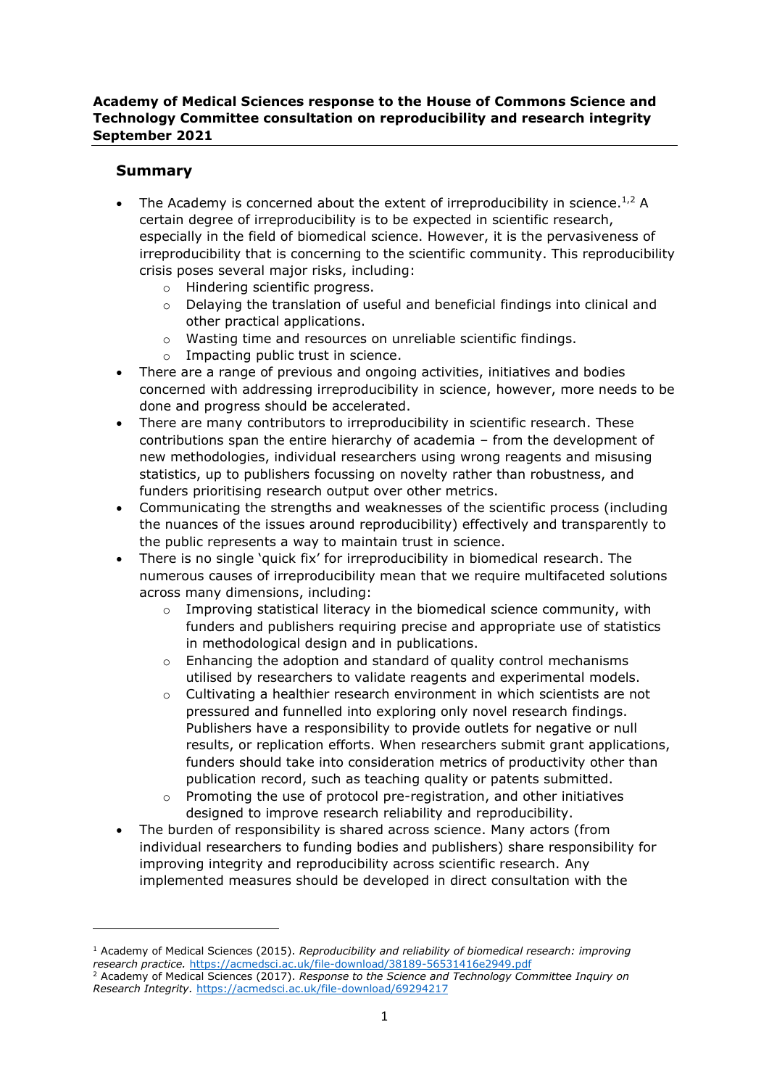## **Academy of Medical Sciences response to the House of Commons Science and Technology Committee consultation on reproducibility and research integrity September 2021**

# **Summary**

- The Academy is concerned about the extent of irreproducibility in science.<sup>1,2</sup> A certain degree of irreproducibility is to be expected in scientific research, especially in the field of biomedical science. However, it is the pervasiveness of irreproducibility that is concerning to the scientific community. This reproducibility crisis poses several major risks, including:
	- o Hindering scientific progress.
	- o Delaying the translation of useful and beneficial findings into clinical and other practical applications.
	- o Wasting time and resources on unreliable scientific findings.
	- o Impacting public trust in science.
- There are a range of previous and ongoing activities, initiatives and bodies concerned with addressing irreproducibility in science, however, more needs to be done and progress should be accelerated.
- There are many contributors to irreproducibility in scientific research. These contributions span the entire hierarchy of academia – from the development of new methodologies, individual researchers using wrong reagents and misusing statistics, up to publishers focussing on novelty rather than robustness, and funders prioritising research output over other metrics.
- Communicating the strengths and weaknesses of the scientific process (including the nuances of the issues around reproducibility) effectively and transparently to the public represents a way to maintain trust in science.
- There is no single 'quick fix' for irreproducibility in biomedical research. The numerous causes of irreproducibility mean that we require multifaceted solutions across many dimensions, including:
	- $\circ$  Improving statistical literacy in the biomedical science community, with funders and publishers requiring precise and appropriate use of statistics in methodological design and in publications.
	- o Enhancing the adoption and standard of quality control mechanisms utilised by researchers to validate reagents and experimental models.
	- $\circ$  Cultivating a healthier research environment in which scientists are not pressured and funnelled into exploring only novel research findings. Publishers have a responsibility to provide outlets for negative or null results, or replication efforts. When researchers submit grant applications, funders should take into consideration metrics of productivity other than publication record, such as teaching quality or patents submitted.
	- o Promoting the use of protocol pre-registration, and other initiatives designed to improve research reliability and reproducibility.
- The burden of responsibility is shared across science. Many actors (from individual researchers to funding bodies and publishers) share responsibility for improving integrity and reproducibility across scientific research. Any implemented measures should be developed in direct consultation with the

<sup>1</sup> Academy of Medical Sciences (2015). *Reproducibility and reliability of biomedical research: improving research practice.* <https://acmedsci.ac.uk/file-download/38189-56531416e2949.pdf>

<sup>2</sup> Academy of Medical Sciences (2017). *Response to the Science and Technology Committee Inquiry on Research Integrity.* <https://acmedsci.ac.uk/file-download/69294217>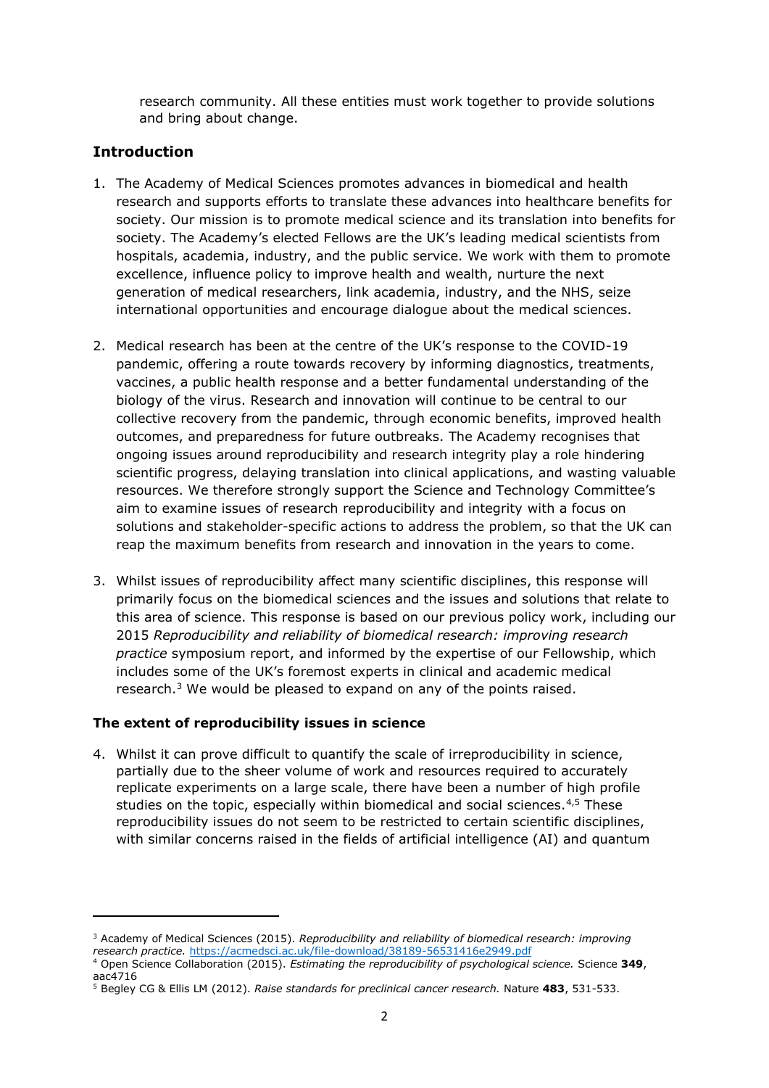research community. All these entities must work together to provide solutions and bring about change.

# **Introduction**

- 1. The Academy of Medical Sciences promotes advances in biomedical and health research and supports efforts to translate these advances into healthcare benefits for society. Our mission is to promote medical science and its translation into benefits for society. The Academy's elected Fellows are the UK's leading medical scientists from hospitals, academia, industry, and the public service. We work with them to promote excellence, influence policy to improve health and wealth, nurture the next generation of medical researchers, link academia, industry, and the NHS, seize international opportunities and encourage dialogue about the medical sciences.
- 2. Medical research has been at the centre of the UK's response to the COVID-19 pandemic, offering a route towards recovery by informing diagnostics, treatments, vaccines, a public health response and a better fundamental understanding of the biology of the virus. Research and innovation will continue to be central to our collective recovery from the pandemic, through economic benefits, improved health outcomes, and preparedness for future outbreaks. The Academy recognises that ongoing issues around reproducibility and research integrity play a role hindering scientific progress, delaying translation into clinical applications, and wasting valuable resources. We therefore strongly support the Science and Technology Committee's aim to examine issues of research reproducibility and integrity with a focus on solutions and stakeholder-specific actions to address the problem, so that the UK can reap the maximum benefits from research and innovation in the years to come.
- 3. Whilst issues of reproducibility affect many scientific disciplines, this response will primarily focus on the biomedical sciences and the issues and solutions that relate to this area of science. This response is based on our previous policy work, including our 2015 *Reproducibility and reliability of biomedical research: improving research practice* symposium report, and informed by the expertise of our Fellowship, which includes some of the UK's foremost experts in clinical and academic medical research. $3$  We would be pleased to expand on any of the points raised.

# **The extent of reproducibility issues in science**

4. Whilst it can prove difficult to quantify the scale of irreproducibility in science, partially due to the sheer volume of work and resources required to accurately replicate experiments on a large scale, there have been a number of high profile studies on the topic, especially within biomedical and social sciences.<sup>4,5</sup> These reproducibility issues do not seem to be restricted to certain scientific disciplines, with similar concerns raised in the fields of artificial intelligence (AI) and quantum

<sup>3</sup> Academy of Medical Sciences (2015). *Reproducibility and reliability of biomedical research: improving research practice.* <https://acmedsci.ac.uk/file-download/38189-56531416e2949.pdf>

<sup>4</sup> Open Science Collaboration (2015). *Estimating the reproducibility of psychological science.* Science **349**, aac4716

<sup>5</sup> Begley CG & Ellis LM (2012). *Raise standards for preclinical cancer research.* Nature **483**, 531-533.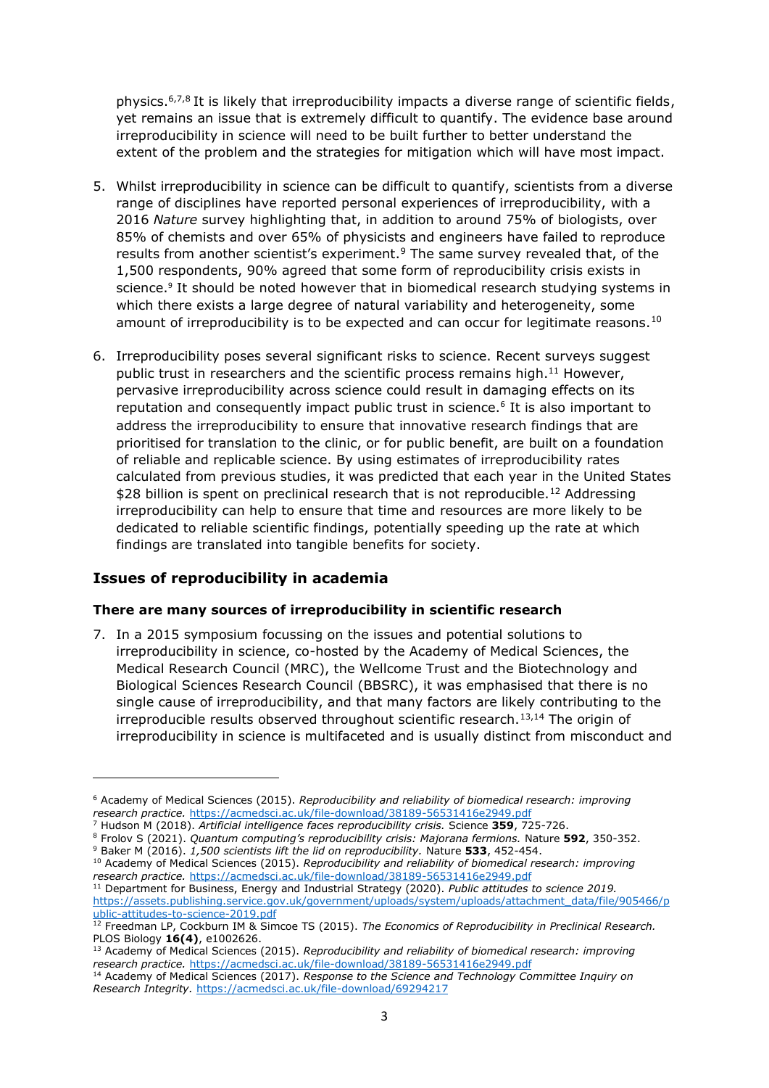<span id="page-2-1"></span>physics.<sup>6,7,8</sup> It is likely that irreproducibility impacts a diverse range of scientific fields, yet remains an issue that is extremely difficult to quantify. The evidence base around irreproducibility in science will need to be built further to better understand the extent of the problem and the strategies for mitigation which will have most impact.

- <span id="page-2-0"></span>5. Whilst irreproducibility in science can be difficult to quantify, scientists from a diverse range of disciplines have reported personal experiences of irreproducibility, with a 2016 *Nature* survey highlighting that, in addition to around 75% of biologists, over 85% of chemists and over 65% of physicists and engineers have failed to reproduce results from another scientist's experiment.<sup>9</sup> The same survey revealed that, of the 1,500 respondents, 90% agreed that some form of reproducibility crisis exists in science.<sup>[9](#page-2-0)</sup> It should be noted however that in biomedical research studying systems in which there exists a large degree of natural variability and heterogeneity, some amount of irreproducibility is to be expected and can occur for legitimate reasons.<sup>10</sup>
- 6. Irreproducibility poses several significant risks to science. Recent surveys suggest public trust in researchers and the scientific process remains high. $^{11}$  However, pervasive irreproducibility across science could result in damaging effects on its reputation and consequently impact public trust in science.<sup>[6](#page-2-1)</sup> It is also important to address the irreproducibility to ensure that innovative research findings that are prioritised for translation to the clinic, or for public benefit, are built on a foundation of reliable and replicable science. By using estimates of irreproducibility rates calculated from previous studies, it was predicted that each year in the United States \$28 billion is spent on preclinical research that is not reproducible.<sup>12</sup> Addressing irreproducibility can help to ensure that time and resources are more likely to be dedicated to reliable scientific findings, potentially speeding up the rate at which findings are translated into tangible benefits for society.

# **Issues of reproducibility in academia**

### **There are many sources of irreproducibility in scientific research**

<span id="page-2-2"></span>7. In a 2015 symposium focussing on the issues and potential solutions to irreproducibility in science, co-hosted by the Academy of Medical Sciences, the Medical Research Council (MRC), the Wellcome Trust and the Biotechnology and Biological Sciences Research Council (BBSRC), it was emphasised that there is no single cause of irreproducibility, and that many factors are likely contributing to the irreproducible results observed throughout scientific research.<sup>13,14</sup> The origin of irreproducibility in science is multifaceted and is usually distinct from misconduct and

<sup>6</sup> Academy of Medical Sciences (2015). *Reproducibility and reliability of biomedical research: improving research practice.* <https://acmedsci.ac.uk/file-download/38189-56531416e2949.pdf>

<sup>7</sup> Hudson M (2018). *Artificial intelligence faces reproducibility crisis.* Science **359**, 725-726.

<sup>8</sup> Frolov S (2021). *Quantum computing's reproducibility crisis: Majorana fermions.* Nature **592**, 350-352. <sup>9</sup> Baker M (2016). *1,500 scientists lift the lid on reproducibility.* Nature **533**, 452-454.

<sup>10</sup> Academy of Medical Sciences (2015). *Reproducibility and reliability of biomedical research: improving research practice.* <https://acmedsci.ac.uk/file-download/38189-56531416e2949.pdf>

<sup>11</sup> Department for Business, Energy and Industrial Strategy (2020). *Public attitudes to science 2019.*  [https://assets.publishing.service.gov.uk/government/uploads/system/uploads/attachment\\_data/file/905466/p](https://assets.publishing.service.gov.uk/government/uploads/system/uploads/attachment_data/file/905466/public-attitudes-to-science-2019.pdf) [ublic-attitudes-to-science-2019.pdf](https://assets.publishing.service.gov.uk/government/uploads/system/uploads/attachment_data/file/905466/public-attitudes-to-science-2019.pdf)

<sup>&</sup>lt;sup>12</sup> Freedman LP, Cockburn IM & Simcoe TS (2015). *The Economics of Reproducibility in Preclinical Research.* PLOS Biology **16(4)**, e1002626.

<sup>13</sup> Academy of Medical Sciences (2015). *Reproducibility and reliability of biomedical research: improving research practice.* <https://acmedsci.ac.uk/file-download/38189-56531416e2949.pdf>

<sup>&</sup>lt;sup>14</sup> Academy of Medical Sciences (2017). *Response to the Science and Technology Committee Inquiry on Research Integrity.* <https://acmedsci.ac.uk/file-download/69294217>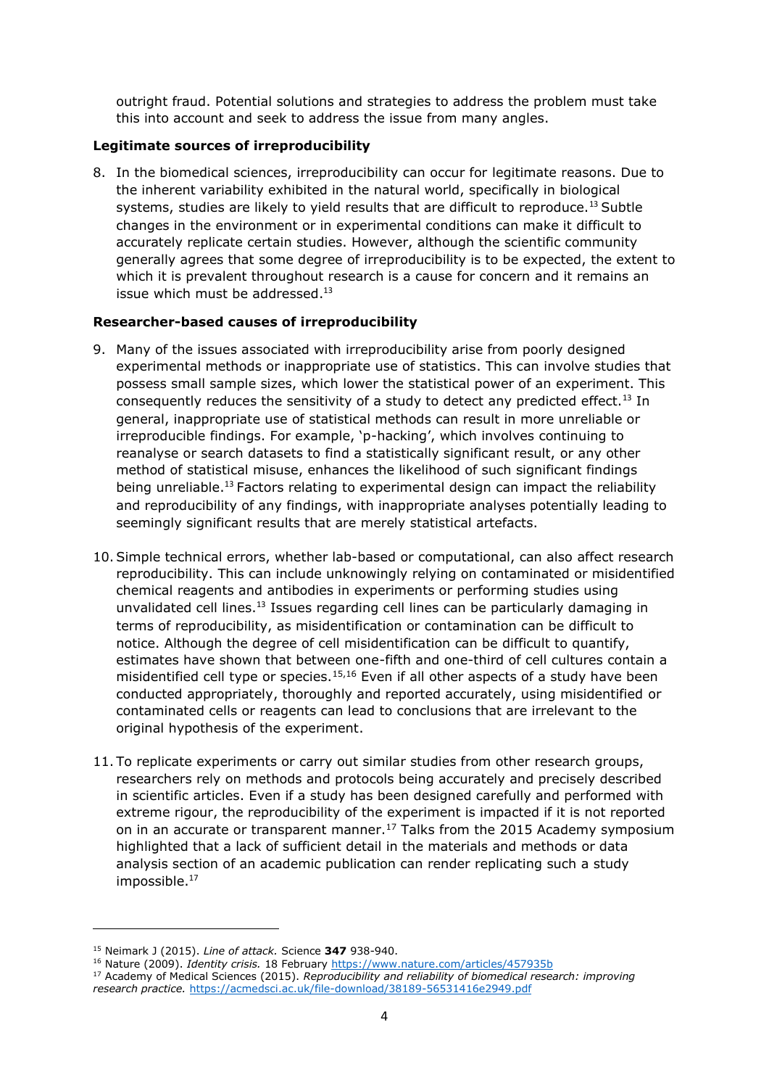outright fraud. Potential solutions and strategies to address the problem must take this into account and seek to address the issue from many angles.

### **Legitimate sources of irreproducibility**

8. In the biomedical sciences, irreproducibility can occur for legitimate reasons. Due to the inherent variability exhibited in the natural world, specifically in biological systems, studies are likely to yield results that are difficult to reproduce.<sup>[13](#page-2-2)</sup> Subtle changes in the environment or in experimental conditions can make it difficult to accurately replicate certain studies. However, although the scientific community generally agrees that some degree of irreproducibility is to be expected, the extent to which it is prevalent throughout research is a cause for concern and it remains an issue which must be addressed.<sup>[13](#page-2-2)</sup>

### **Researcher-based causes of irreproducibility**

- 9. Many of the issues associated with irreproducibility arise from poorly designed experimental methods or inappropriate use of statistics. This can involve studies that possess small sample sizes, which lower the statistical power of an experiment. This consequently reduces the sensitivity of a study to detect any predicted effect.<sup>[13](#page-2-2)</sup> In general, inappropriate use of statistical methods can result in more unreliable or irreproducible findings. For example, 'p-hacking', which involves continuing to reanalyse or search datasets to find a statistically significant result, or any other method of statistical misuse, enhances the likelihood of such significant findings being unreliable.<sup>[13](#page-2-2)</sup> Factors relating to experimental design can impact the reliability and reproducibility of any findings, with inappropriate analyses potentially leading to seemingly significant results that are merely statistical artefacts.
- 10.Simple technical errors, whether lab-based or computational, can also affect research reproducibility. This can include unknowingly relying on contaminated or misidentified chemical reagents and antibodies in experiments or performing studies using unvalidated cell lines.<sup>[13](#page-2-2)</sup> Issues regarding cell lines can be particularly damaging in terms of reproducibility, as misidentification or contamination can be difficult to notice. Although the degree of cell misidentification can be difficult to quantify, estimates have shown that between one-fifth and one-third of cell cultures contain a misidentified cell type or species.<sup>15,16</sup> Even if all other aspects of a study have been conducted appropriately, thoroughly and reported accurately, using misidentified or contaminated cells or reagents can lead to conclusions that are irrelevant to the original hypothesis of the experiment.
- <span id="page-3-0"></span>11. To replicate experiments or carry out similar studies from other research groups, researchers rely on methods and protocols being accurately and precisely described in scientific articles. Even if a study has been designed carefully and performed with extreme rigour, the reproducibility of the experiment is impacted if it is not reported on in an accurate or transparent manner.<sup>17</sup> Talks from the 2015 Academy symposium highlighted that a lack of sufficient detail in the materials and methods or data analysis section of an academic publication can render replicating such a study impossible.<sup>[17](#page-3-0)</sup>

<sup>15</sup> Neimark J (2015). *Line of attack.* Science **347** 938-940.

<sup>16</sup> Nature (2009). *Identity crisis.* 18 February<https://www.nature.com/articles/457935b>

<sup>17</sup> Academy of Medical Sciences (2015). *Reproducibility and reliability of biomedical research: improving research practice.* <https://acmedsci.ac.uk/file-download/38189-56531416e2949.pdf>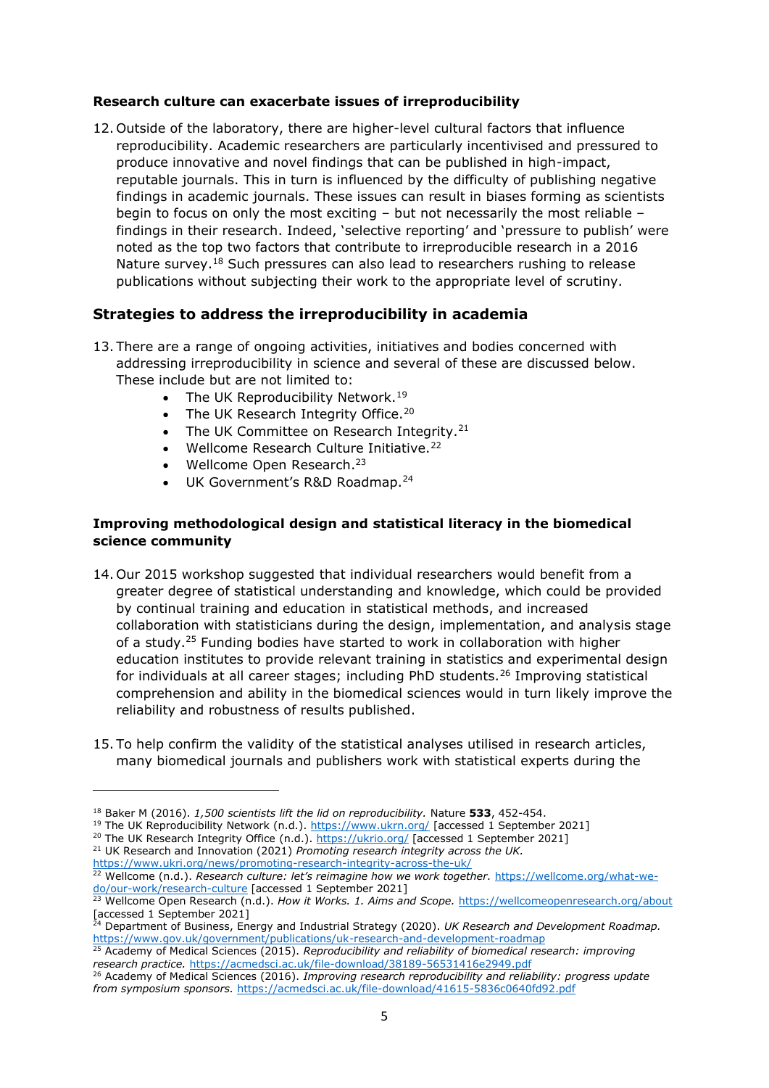### **Research culture can exacerbate issues of irreproducibility**

12. Outside of the laboratory, there are higher-level cultural factors that influence reproducibility. Academic researchers are particularly incentivised and pressured to produce innovative and novel findings that can be published in high-impact, reputable journals. This in turn is influenced by the difficulty of publishing negative findings in academic journals. These issues can result in biases forming as scientists begin to focus on only the most exciting – but not necessarily the most reliable – findings in their research. Indeed, 'selective reporting' and 'pressure to publish' were noted as the top two factors that contribute to irreproducible research in a 2016 Nature survey.<sup>18</sup> Such pressures can also lead to researchers rushing to release publications without subjecting their work to the appropriate level of scrutiny.

## **Strategies to address the irreproducibility in academia**

- 13. There are a range of ongoing activities, initiatives and bodies concerned with addressing irreproducibility in science and several of these are discussed below. These include but are not limited to:
	- The UK Reproducibility Network.<sup>19</sup>
	- The UK Research Integrity Office.<sup>20</sup>
	- The UK Committee on Research Integrity.<sup>21</sup>
	- Wellcome Research Culture Initiative.<sup>22</sup>
	- Wellcome Open Research.<sup>23</sup>
	- UK Government's R&D Roadmap.<sup>24</sup>

## **Improving methodological design and statistical literacy in the biomedical science community**

- 14. Our 2015 workshop suggested that individual researchers would benefit from a greater degree of statistical understanding and knowledge, which could be provided by continual training and education in statistical methods, and increased collaboration with statisticians during the design, implementation, and analysis stage of a study.<sup>25</sup> Funding bodies have started to work in collaboration with higher education institutes to provide relevant training in statistics and experimental design for individuals at all career stages; including PhD students.<sup>26</sup> Improving statistical comprehension and ability in the biomedical sciences would in turn likely improve the reliability and robustness of results published.
- 15. To help confirm the validity of the statistical analyses utilised in research articles, many biomedical journals and publishers work with statistical experts during the

<sup>18</sup> Baker M (2016). *1,500 scientists lift the lid on reproducibility.* Nature **533**, 452-454.

<sup>&</sup>lt;sup>19</sup> The UK Reproducibility Network (n.d.).<https://www.ukrn.org/> [accessed 1 September 2021]

<sup>&</sup>lt;sup>20</sup> The UK Research Integrity Office (n.d.).<https://ukrio.org/> [accessed 1 September 2021]

<sup>&</sup>lt;sup>21</sup> UK Research and Innovation (2021) *Promoting research integrity across the UK.* <https://www.ukri.org/news/promoting-research-integrity-across-the-uk/>

<sup>22</sup> Wellcome (n.d.). *Research culture: let's reimagine how we work together.* [https://wellcome.org/what-we](https://wellcome.org/what-we-do/our-work/research-culture)[do/our-work/research-culture](https://wellcome.org/what-we-do/our-work/research-culture) [accessed 1 September 2021]

<sup>23</sup> Wellcome Open Research (n.d.). *How it Works. 1. Aims and Scope.* <https://wellcomeopenresearch.org/about> [accessed 1 September 2021]

<sup>24</sup> Department of Business, Energy and Industrial Strategy (2020). *UK Research and Development Roadmap.*  <https://www.gov.uk/government/publications/uk-research-and-development-roadmap>

<sup>25</sup> Academy of Medical Sciences (2015). *Reproducibility and reliability of biomedical research: improving research practice.* <https://acmedsci.ac.uk/file-download/38189-56531416e2949.pdf>

<sup>26</sup> Academy of Medical Sciences (2016). *Improving research reproducibility and reliability: progress update from symposium sponsors.* <https://acmedsci.ac.uk/file-download/41615-5836c0640fd92.pdf>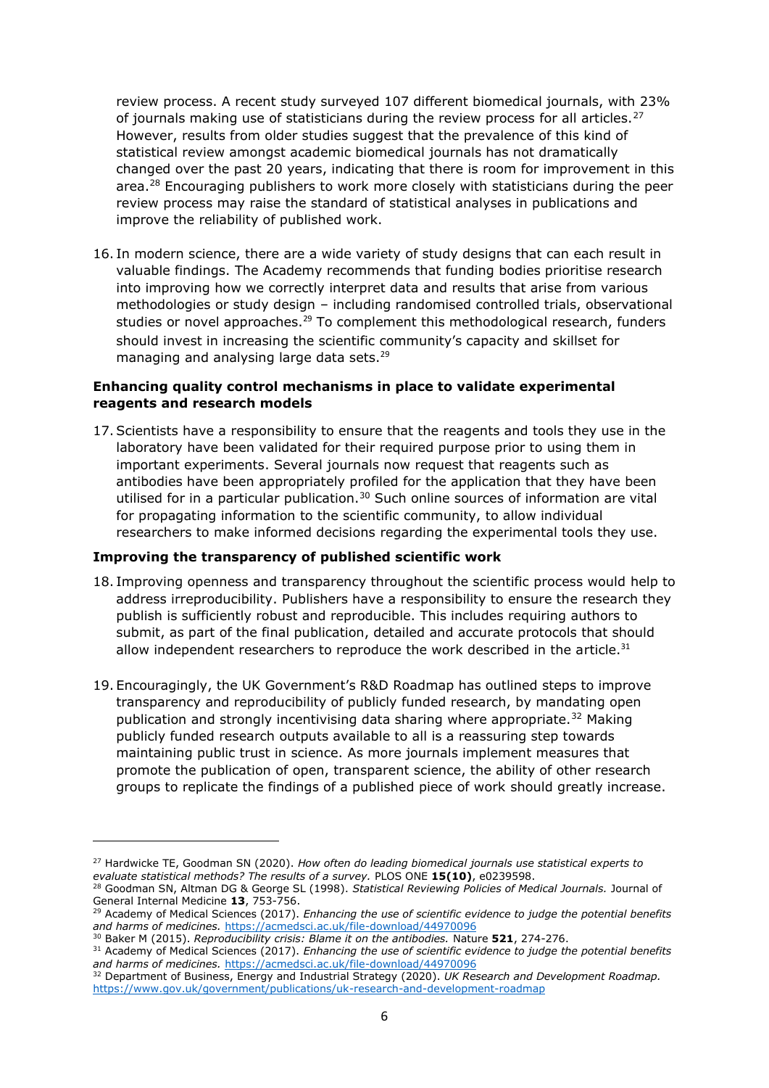review process. A recent study surveyed 107 different biomedical journals, with 23% of journals making use of statisticians during the review process for all articles. $27$ However, results from older studies suggest that the prevalence of this kind of statistical review amongst academic biomedical journals has not dramatically changed over the past 20 years, indicating that there is room for improvement in this area.<sup>28</sup> Encouraging publishers to work more closely with statisticians during the peer review process may raise the standard of statistical analyses in publications and improve the reliability of published work.

<span id="page-5-0"></span>16. In modern science, there are a wide variety of study designs that can each result in valuable findings. The Academy recommends that funding bodies prioritise research into improving how we correctly interpret data and results that arise from various methodologies or study design – including randomised controlled trials, observational studies or novel approaches.<sup>29</sup> To complement this methodological research, funders should invest in increasing the scientific community's capacity and skillset for managing and analysing large data sets.<sup>[29](#page-5-0)</sup>

### **Enhancing quality control mechanisms in place to validate experimental reagents and research models**

17.Scientists have a responsibility to ensure that the reagents and tools they use in the laboratory have been validated for their required purpose prior to using them in important experiments. Several journals now request that reagents such as antibodies have been appropriately profiled for the application that they have been utilised for in a particular publication.<sup>30</sup> Such online sources of information are vital for propagating information to the scientific community, to allow individual researchers to make informed decisions regarding the experimental tools they use.

### **Improving the transparency of published scientific work**

- 18. Improving openness and transparency throughout the scientific process would help to address irreproducibility. Publishers have a responsibility to ensure the research they publish is sufficiently robust and reproducible. This includes requiring authors to submit, as part of the final publication, detailed and accurate protocols that should allow independent researchers to reproduce the work described in the article. $31$
- 19. Encouragingly, the UK Government's R&D Roadmap has outlined steps to improve transparency and reproducibility of publicly funded research, by mandating open publication and strongly incentivising data sharing where appropriate.<sup>32</sup> Making publicly funded research outputs available to all is a reassuring step towards maintaining public trust in science. As more journals implement measures that promote the publication of open, transparent science, the ability of other research groups to replicate the findings of a published piece of work should greatly increase.

<sup>27</sup> Hardwicke TE, Goodman SN (2020). *How often do leading biomedical journals use statistical experts to evaluate statistical methods? The results of a survey.* PLOS ONE **15(10)**, e0239598.

<sup>28</sup> Goodman SN, Altman DG & George SL (1998). *Statistical Reviewing Policies of Medical Journals.* Journal of General Internal Medicine **13**, 753-756.

<sup>29</sup> Academy of Medical Sciences (2017). *Enhancing the use of scientific evidence to judge the potential benefits and harms of medicines.* <https://acmedsci.ac.uk/file-download/44970096>

<sup>30</sup> Baker M (2015). *Reproducibility crisis: Blame it on the antibodies.* Nature **521**, 274-276.

<sup>31</sup> Academy of Medical Sciences (2017). *Enhancing the use of scientific evidence to judge the potential benefits and harms of medicines.* <https://acmedsci.ac.uk/file-download/44970096>

<sup>32</sup> Department of Business, Energy and Industrial Strategy (2020). *UK Research and Development Roadmap.*  <https://www.gov.uk/government/publications/uk-research-and-development-roadmap>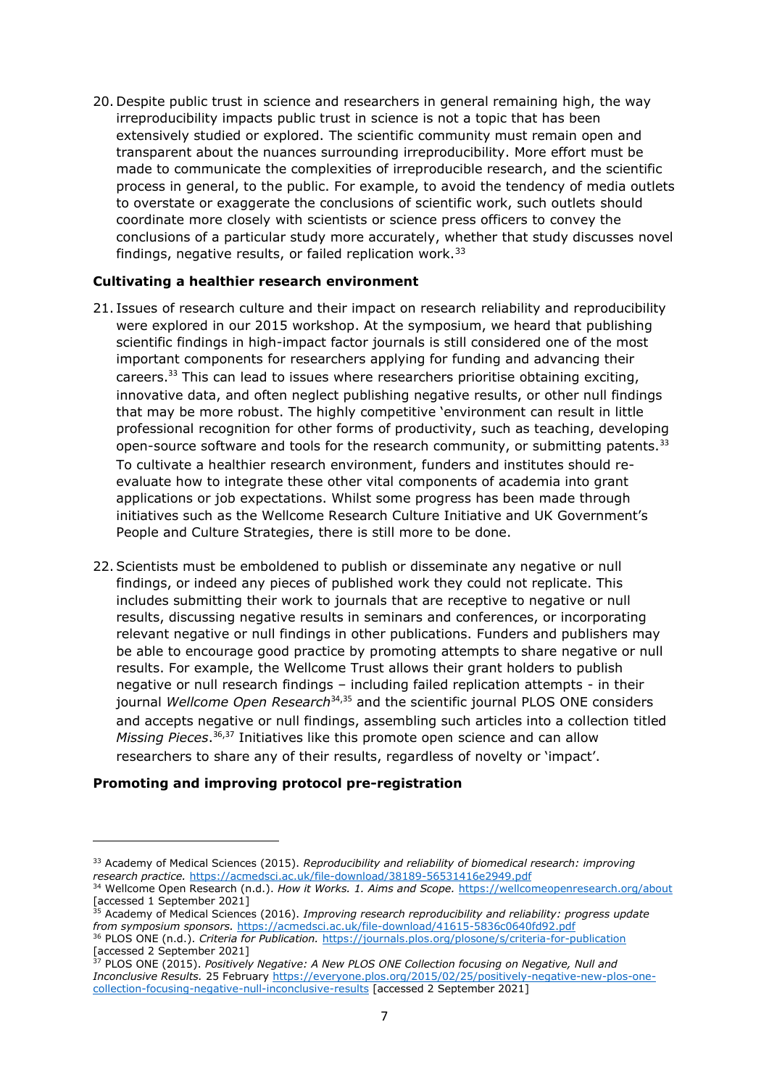20. Despite public trust in science and researchers in general remaining high, the way irreproducibility impacts public trust in science is not a topic that has been extensively studied or explored. The scientific community must remain open and transparent about the nuances surrounding irreproducibility. More effort must be made to communicate the complexities of irreproducible research, and the scientific process in general, to the public. For example, to avoid the tendency of media outlets to overstate or exaggerate the conclusions of scientific work, such outlets should coordinate more closely with scientists or science press officers to convey the conclusions of a particular study more accurately, whether that study discusses novel findings, negative results, or failed replication work. $33$ 

## <span id="page-6-0"></span>**Cultivating a healthier research environment**

- 21. Issues of research culture and their impact on research reliability and reproducibility were explored in our 2015 workshop. At the symposium, we heard that publishing scientific findings in high-impact factor journals is still considered one of the most important components for researchers applying for funding and advancing their careers.<sup>[33](#page-6-0)</sup> This can lead to issues where researchers prioritise obtaining exciting, innovative data, and often neglect publishing negative results, or other null findings that may be more robust. The highly competitive 'environment can result in little professional recognition for other forms of productivity, such as teaching, developing open-source software and tools for the research community, or submitting patents. $33$ To cultivate a healthier research environment, funders and institutes should reevaluate how to integrate these other vital components of academia into grant applications or job expectations. Whilst some progress has been made through initiatives such as the Wellcome Research Culture Initiative and UK Government's People and Culture Strategies, there is still more to be done.
- 22.Scientists must be emboldened to publish or disseminate any negative or null findings, or indeed any pieces of published work they could not replicate. This includes submitting their work to journals that are receptive to negative or null results, discussing negative results in seminars and conferences, or incorporating relevant negative or null findings in other publications. Funders and publishers may be able to encourage good practice by promoting attempts to share negative or null results. For example, the Wellcome Trust allows their grant holders to publish negative or null research findings – including failed replication attempts - in their journal *Wellcome Open Research*<sup>34,35</sup> and the scientific journal PLOS ONE considers and accepts negative or null findings, assembling such articles into a collection titled *Missing Pieces*. <sup>36</sup>,<sup>37</sup> Initiatives like this promote open science and can allow researchers to share any of their results, regardless of novelty or 'impact'.

# **Promoting and improving protocol pre-registration**

<sup>33</sup> Academy of Medical Sciences (2015). *Reproducibility and reliability of biomedical research: improving research practice.* <https://acmedsci.ac.uk/file-download/38189-56531416e2949.pdf>

<sup>34</sup> Wellcome Open Research (n.d.). *How it Works. 1. Aims and Scope.* <https://wellcomeopenresearch.org/about> [accessed 1 September 2021]

<sup>35</sup> Academy of Medical Sciences (2016). *Improving research reproducibility and reliability: progress update from symposium sponsors.* <https://acmedsci.ac.uk/file-download/41615-5836c0640fd92.pdf> <sup>36</sup> PLOS ONE (n.d.). *Criteria for Publication.* <https://journals.plos.org/plosone/s/criteria-for-publication> [accessed 2 September 2021]

<sup>37</sup> PLOS ONE (2015). *Positively Negative: A New PLOS ONE Collection focusing on Negative, Null and Inconclusive Results.* 25 February [https://everyone.plos.org/2015/02/25/positively-negative-new-plos-one](https://everyone.plos.org/2015/02/25/positively-negative-new-plos-one-collection-focusing-negative-null-inconclusive-results)[collection-focusing-negative-null-inconclusive-results](https://everyone.plos.org/2015/02/25/positively-negative-new-plos-one-collection-focusing-negative-null-inconclusive-results) [accessed 2 September 2021]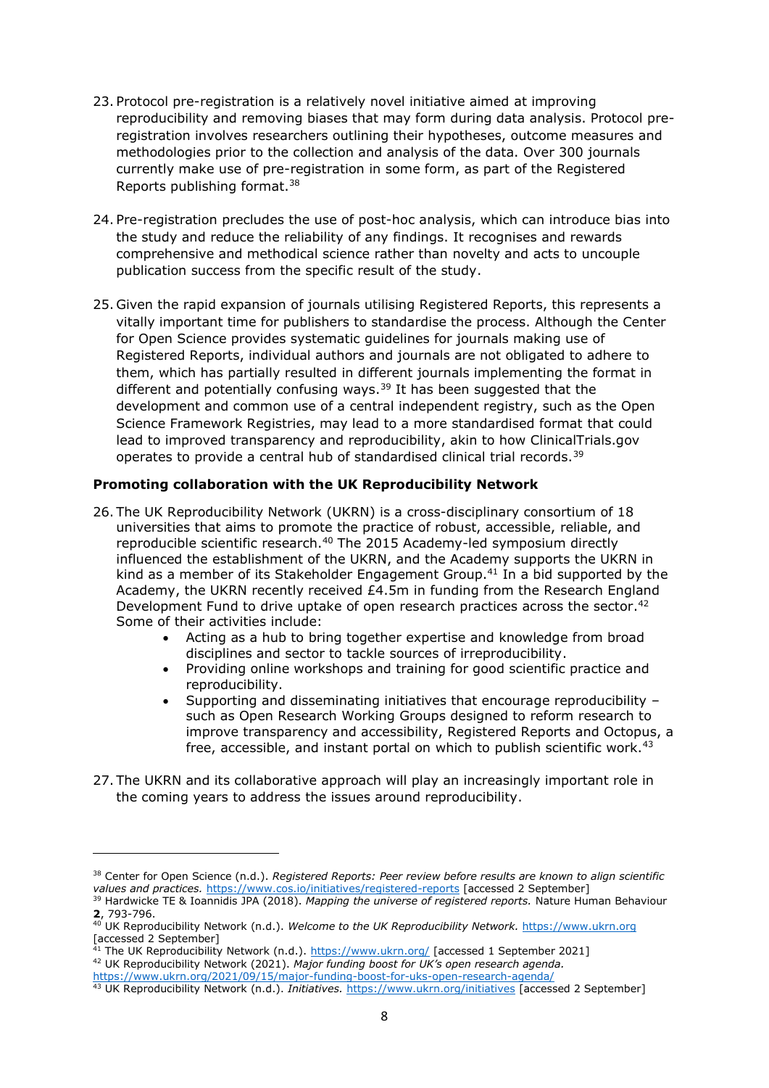- 23. Protocol pre-registration is a relatively novel initiative aimed at improving reproducibility and removing biases that may form during data analysis. Protocol preregistration involves researchers outlining their hypotheses, outcome measures and methodologies prior to the collection and analysis of the data. Over 300 journals currently make use of pre-registration in some form, as part of the Registered Reports publishing format.<sup>38</sup>
- 24. Pre-registration precludes the use of post-hoc analysis, which can introduce bias into the study and reduce the reliability of any findings. It recognises and rewards comprehensive and methodical science rather than novelty and acts to uncouple publication success from the specific result of the study.
- 25. Given the rapid expansion of journals utilising Registered Reports, this represents a vitally important time for publishers to standardise the process. Although the Center for Open Science provides systematic guidelines for journals making use of Registered Reports, individual authors and journals are not obligated to adhere to them, which has partially resulted in different journals implementing the format in different and potentially confusing ways.<sup>39</sup> It has been suggested that the development and common use of a central independent registry, such as the Open Science Framework Registries, may lead to a more standardised format that could lead to improved transparency and reproducibility, akin to how ClinicalTrials.gov operates to provide a central hub of standardised clinical trial records.<sup>39</sup>

## **Promoting collaboration with the UK Reproducibility Network**

- 26. The UK Reproducibility Network (UKRN) is a cross-disciplinary consortium of 18 universities that aims to promote the practice of robust, accessible, reliable, and reproducible scientific research.<sup>40</sup> The 2015 Academy-led symposium directly influenced the establishment of the UKRN, and the Academy supports the UKRN in kind as a member of its Stakeholder Engagement Group.<sup>41</sup> In a bid supported by the Academy, the UKRN recently received £4.5m in funding from the Research England Development Fund to drive uptake of open research practices across the sector.<sup>42</sup> Some of their activities include:
	- Acting as a hub to bring together expertise and knowledge from broad disciplines and sector to tackle sources of irreproducibility.
	- Providing online workshops and training for good scientific practice and reproducibility.
	- Supporting and disseminating initiatives that encourage reproducibility such as Open Research Working Groups designed to reform research to improve transparency and accessibility, Registered Reports and Octopus, a free, accessible, and instant portal on which to publish scientific work.<sup>43</sup>
- 27. The UKRN and its collaborative approach will play an increasingly important role in the coming years to address the issues around reproducibility.

<sup>38</sup> Center for Open Science (n.d.). *Registered Reports: Peer review before results are known to align scientific values and practices.* <https://www.cos.io/initiatives/registered-reports> [accessed 2 September]

<sup>39</sup> Hardwicke TE & Ioannidis JPA (2018). *Mapping the universe of registered reports.* Nature Human Behaviour **2**, 793-796.

<sup>40</sup> UK Reproducibility Network (n.d.). *Welcome to the UK Reproducibility Network.* [https://www.ukrn.org](https://www.ukrn.org/) [accessed 2 September]

 $^{41}$  The UK Reproducibility Network (n.d.).  $\tfrac{\text{https://www.ukrn.org/}}{\text{https://www.ukrn.org/}}$  [accessed 1 September 2021] <sup>42</sup> UK Reproducibility Network (2021). *Major funding boost for UK's open research agenda.* 

<https://www.ukrn.org/2021/09/15/major-funding-boost-for-uks-open-research-agenda/>

<sup>43</sup> UK Reproducibility Network (n.d.). *Initiatives.* <https://www.ukrn.org/initiatives> [accessed 2 September]